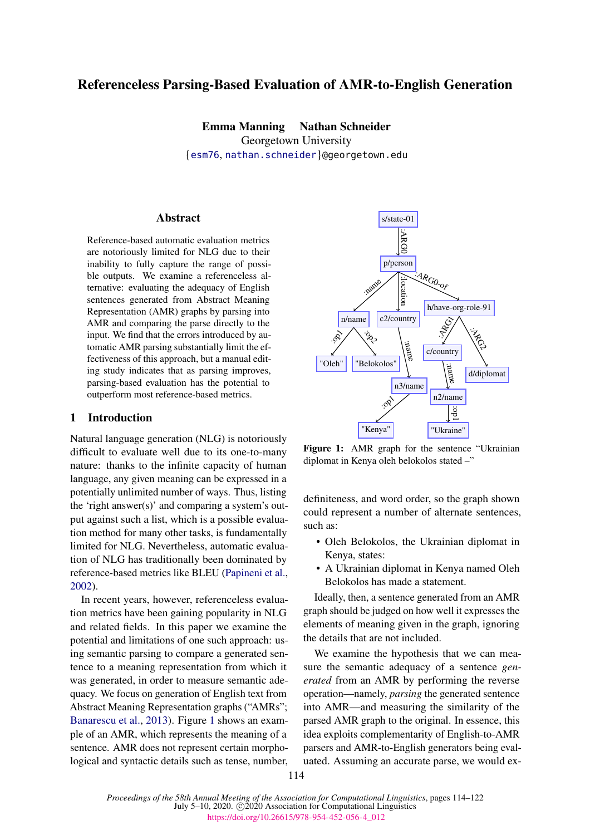# Referenceless Parsing-Based Evaluation of AMR-to-English Generation

Emma Manning Nathan Schneider Georgetown University {esm76, nathan.schneider}@georgetown.edu

### **Abstract**

Reference-based automatic evaluation metrics are notoriously limited for NLG due to their inability to fully capture the range of possible outputs. We examine a referenceless alternative: evaluating the adequacy of English sentences generated from Abstract Meaning Representation (AMR) graphs by parsing into AMR and comparing the parse directly to the input. We find that the errors introduced by automatic AMR parsing substantially limit the effectiveness of this approach, but a manual editing study indicates that as parsing improves, parsing-based evaluation has the potential to outperform most reference-based metrics.

## 1 Introduction

Natural language generation (NLG) is notoriously difficult to evaluate well due to its one-to-many nature: thanks to the infinite capacity of human language, any given meaning can be expressed in a potentially unlimited number of ways. Thus, listing the 'right answer(s)' and comparing a system's output against such a list, which is a possible evaluation method for many other tasks, is fundamentally limited for NLG. Nevertheless, automatic evaluation of NLG has traditionally been dominated by reference-based metrics like BLEU (Papineni et al., 2002).

In recent years, however, referenceless evaluation metrics have been gaining popularity in NLG and related fields. In this paper we examine the potential and limitations of one such approach: using semantic parsing to compare a generated sentence to a meaning representation from which it was generated, in order to measure semantic adequacy. We focus on generation of English text from Abstract Meaning Representation graphs ("AMRs"; Banarescu et al., 2013). Figure 1 shows an example of an AMR, which represents the meaning of a sentence. AMR does not represent certain morphological and syntactic details such as tense, number,



Figure 1: AMR graph for the sentence "Ukrainian diplomat in Kenya oleh belokolos stated –"

definiteness, and word order, so the graph shown could represent a number of alternate sentences, such as:

- Oleh Belokolos, the Ukrainian diplomat in Kenya, states:
- A Ukrainian diplomat in Kenya named Oleh Belokolos has made a statement.

Ideally, then, a sentence generated from an AMR graph should be judged on how well it expresses the elements of meaning given in the graph, ignoring the details that are not included.

We examine the hypothesis that we can measure the semantic adequacy of a sentence *generated* from an AMR by performing the reverse operation—namely, *parsing* the generated sentence into AMR—and measuring the similarity of the parsed AMR graph to the original. In essence, this idea exploits complementarity of English-to-AMR parsers and AMR-to-English generators being evaluated. Assuming an accurate parse, we would ex-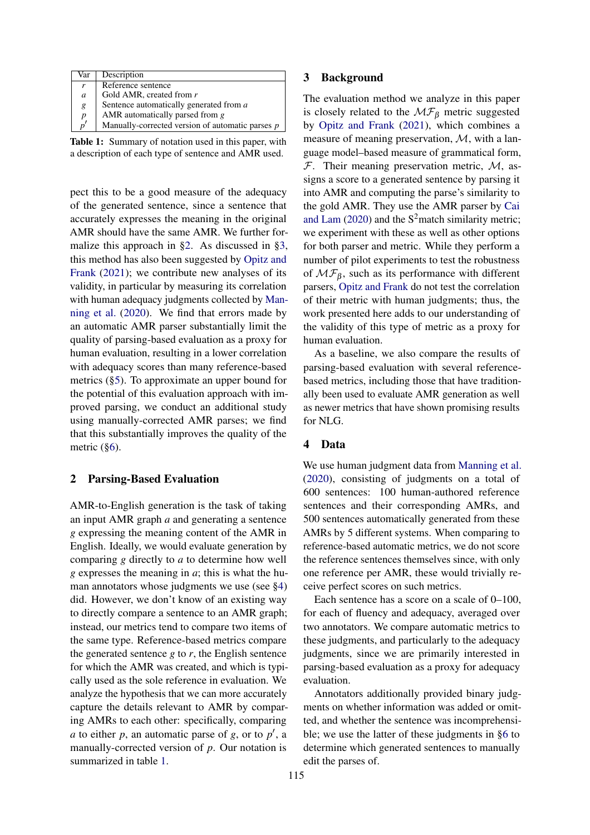| Var              | Description                                      |
|------------------|--------------------------------------------------|
| r                | Reference sentence                               |
| $\mathfrak a$    | Gold AMR, created from r                         |
| g                | Sentence automatically generated from a          |
| $\boldsymbol{p}$ | AMR automatically parsed from $g$                |
| $n^{\prime}$     | Manually-corrected version of automatic parses p |

Table 1: Summary of notation used in this paper, with a description of each type of sentence and AMR used.

pect this to be a good measure of the adequacy of the generated sentence, since a sentence that accurately expresses the meaning in the original AMR should have the same AMR. We further formalize this approach in §2. As discussed in §3, this method has also been suggested by Opitz and Frank (2021); we contribute new analyses of its validity, in particular by measuring its correlation with human adequacy judgments collected by Manning et al. (2020). We find that errors made by an automatic AMR parser substantially limit the quality of parsing-based evaluation as a proxy for human evaluation, resulting in a lower correlation with adequacy scores than many reference-based metrics (§5). To approximate an upper bound for the potential of this evaluation approach with improved parsing, we conduct an additional study using manually-corrected AMR parses; we find that this substantially improves the quality of the metric (§6).

### 2 Parsing-Based Evaluation

AMR-to-English generation is the task of taking an input AMR graph *a* and generating a sentence *g* expressing the meaning content of the AMR in English. Ideally, we would evaluate generation by comparing *g* directly to *a* to determine how well *g* expresses the meaning in *a*; this is what the human annotators whose judgments we use (see §4) did. However, we don't know of an existing way to directly compare a sentence to an AMR graph; instead, our metrics tend to compare two items of the same type. Reference-based metrics compare the generated sentence *g* to *r*, the English sentence for which the AMR was created, and which is typically used as the sole reference in evaluation. We analyze the hypothesis that we can more accurately capture the details relevant to AMR by comparing AMRs to each other: specifically, comparing *a* to either *p*, an automatic parse of *g*, or to *p*′ , a manually-corrected version of *p*. Our notation is summarized in table 1.

### 3 Background

The evaluation method we analyze in this paper is closely related to the  $\mathcal{MF}_{\beta}$  metric suggested by Opitz and Frank (2021), which combines a measure of meaning preservation, M, with a language model–based measure of grammatical form,  $F$ . Their meaning preservation metric,  $M$ , assigns a score to a generated sentence by parsing it into AMR and computing the parse's similarity to the gold AMR. They use the AMR parser by Cai and Lam  $(2020)$  and the  $S^2$ match similarity metric; we experiment with these as well as other options for both parser and metric. While they perform a number of pilot experiments to test the robustness of  $\mathcal{MF}_{\beta}$ , such as its performance with different parsers, Opitz and Frank do not test the correlation of their metric with human judgments; thus, the work presented here adds to our understanding of the validity of this type of metric as a proxy for human evaluation.

As a baseline, we also compare the results of parsing-based evaluation with several referencebased metrics, including those that have traditionally been used to evaluate AMR generation as well as newer metrics that have shown promising results for NLG.

#### 4 Data

We use human judgment data from Manning et al. (2020), consisting of judgments on a total of 600 sentences: 100 human-authored reference sentences and their corresponding AMRs, and 500 sentences automatically generated from these AMRs by 5 different systems. When comparing to reference-based automatic metrics, we do not score the reference sentences themselves since, with only one reference per AMR, these would trivially receive perfect scores on such metrics.

Each sentence has a score on a scale of 0–100, for each of fluency and adequacy, averaged over two annotators. We compare automatic metrics to these judgments, and particularly to the adequacy judgments, since we are primarily interested in parsing-based evaluation as a proxy for adequacy evaluation.

Annotators additionally provided binary judgments on whether information was added or omitted, and whether the sentence was incomprehensible; we use the latter of these judgments in §6 to determine which generated sentences to manually edit the parses of.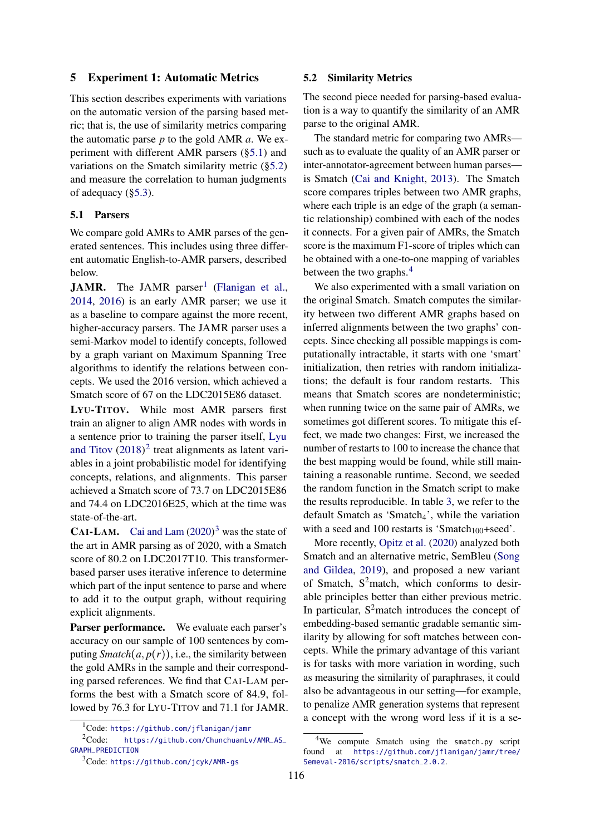### 5 Experiment 1: Automatic Metrics

This section describes experiments with variations on the automatic version of the parsing based metric; that is, the use of similarity metrics comparing the automatic parse *p* to the gold AMR *a*. We experiment with different AMR parsers (§5.1) and variations on the Smatch similarity metric (§5.2) and measure the correlation to human judgments of adequacy (§5.3).

### 5.1 Parsers

We compare gold AMRs to AMR parses of the generated sentences. This includes using three different automatic English-to-AMR parsers, described below.

JAMR. The JAMR parser<sup>1</sup> (Flanigan et al., 2014, 2016) is an early AMR parser; we use it as a baseline to compare against the more recent, higher-accuracy parsers. The JAMR parser uses a semi-Markov model to identify concepts, followed by a graph variant on Maximum Spanning Tree algorithms to identify the relations between concepts. We used the 2016 version, which achieved a Smatch score of 67 on the LDC2015E86 dataset.

LYU-TITOV. While most AMR parsers first train an aligner to align AMR nodes with words in a sentence prior to training the parser itself, Lyu and Titov  $(2018)^2$  treat alignments as latent variables in a joint probabilistic model for identifying concepts, relations, and alignments. This parser achieved a Smatch score of 73.7 on LDC2015E86 and 74.4 on LDC2016E25, which at the time was state-of-the-art.

**CAI-LAM.** Cai and Lam  $(2020)^3$  was the state of the art in AMR parsing as of 2020, with a Smatch score of 80.2 on LDC2017T10. This transformerbased parser uses iterative inference to determine which part of the input sentence to parse and where to add it to the output graph, without requiring explicit alignments.

Parser performance. We evaluate each parser's accuracy on our sample of 100 sentences by computing *Smatch* $(a, p(r))$ , i.e., the similarity between the gold AMRs in the sample and their corresponding parsed references. We find that CAI-LAM performs the best with a Smatch score of 84.9, followed by 76.3 for LYU-TITOV and 71.1 for JAMR.

#### 5.2 Similarity Metrics

The second piece needed for parsing-based evaluation is a way to quantify the similarity of an AMR parse to the original AMR.

The standard metric for comparing two AMRs such as to evaluate the quality of an AMR parser or inter-annotator-agreement between human parses is Smatch (Cai and Knight, 2013). The Smatch score compares triples between two AMR graphs, where each triple is an edge of the graph (a semantic relationship) combined with each of the nodes it connects. For a given pair of AMRs, the Smatch score is the maximum F1-score of triples which can be obtained with a one-to-one mapping of variables between the two graphs.<sup>4</sup>

We also experimented with a small variation on the original Smatch. Smatch computes the similarity between two different AMR graphs based on inferred alignments between the two graphs' concepts. Since checking all possible mappings is computationally intractable, it starts with one 'smart' initialization, then retries with random initializations; the default is four random restarts. This means that Smatch scores are nondeterministic; when running twice on the same pair of AMRs, we sometimes got different scores. To mitigate this effect, we made two changes: First, we increased the number of restarts to 100 to increase the chance that the best mapping would be found, while still maintaining a reasonable runtime. Second, we seeded the random function in the Smatch script to make the results reproducible. In table 3, we refer to the default Smatch as 'Smatch<sub>4</sub>', while the variation with a seed and 100 restarts is 'Smatch<sub>100</sub>+seed'.

More recently, Opitz et al. (2020) analyzed both Smatch and an alternative metric, SemBleu (Song and Gildea, 2019), and proposed a new variant of Smatch,  $S^2$ match, which conforms to desirable principles better than either previous metric. In particular,  $S^2$  match introduces the concept of embedding-based semantic gradable semantic similarity by allowing for soft matches between concepts. While the primary advantage of this variant is for tasks with more variation in wording, such as measuring the similarity of paraphrases, it could also be advantageous in our setting—for example, to penalize AMR generation systems that represent a concept with the wrong word less if it is a se-

<sup>1</sup>Code: https://github.com/jflanigan/jamr

<sup>2</sup>Code: https://github.com/ChunchuanLv/AMR\_AS\_ GRAPH\_PREDICTION

<sup>3</sup>Code: https://github.com/jcyk/AMR-gs

<sup>&</sup>lt;sup>4</sup>We compute Smatch using the smatch.py script found at https://github.com/jflanigan/jamr/tree/ Semeval-2016/scripts/smatch\_2.0.2.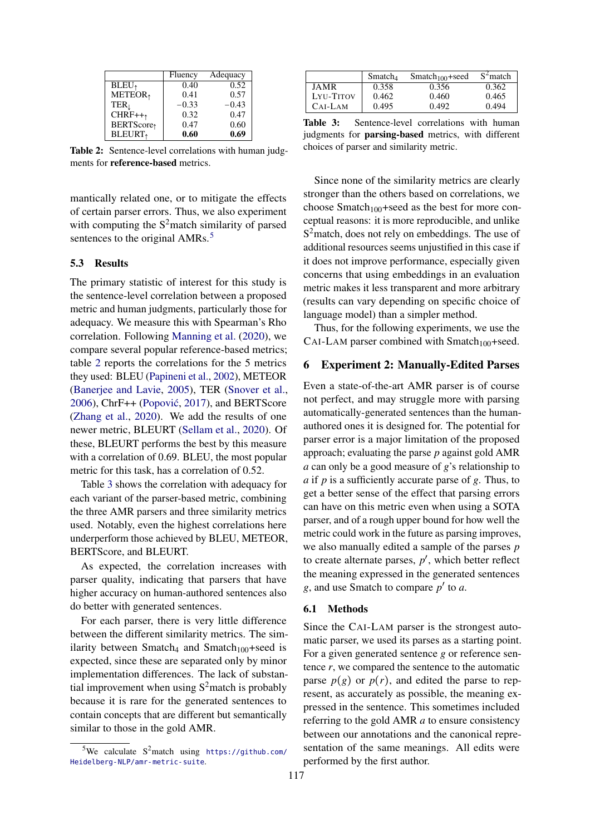|                        | Fluency | Adequacy |
|------------------------|---------|----------|
| $BLEU$ <sub>↑</sub>    | 0.40    | 0.52     |
| METEOR <sub>†</sub>    | 0.41    | 0.57     |
| TER <sub>l</sub>       | $-0.33$ | $-0.43$  |
| $CHRF++1$              | 0.32    | 0.47     |
| BERTScore <sub>1</sub> | 0.47    | 0.60     |
| <b>BLEURT</b>          | 0.60    | 0.69     |

Table 2: Sentence-level correlations with human judgments for reference-based metrics.

mantically related one, or to mitigate the effects of certain parser errors. Thus, we also experiment with computing the  $S^2$  match similarity of parsed sentences to the original AMRs.<sup>5</sup>

#### 5.3 Results

The primary statistic of interest for this study is the sentence-level correlation between a proposed metric and human judgments, particularly those for adequacy. We measure this with Spearman's Rho correlation. Following Manning et al. (2020), we compare several popular reference-based metrics; table 2 reports the correlations for the 5 metrics they used: BLEU (Papineni et al., 2002), METEOR (Banerjee and Lavie, 2005), TER (Snover et al., 2006), ChrF++ (Popović, 2017), and BERTScore (Zhang et al., 2020). We add the results of one newer metric, BLEURT (Sellam et al., 2020). Of these, BLEURT performs the best by this measure with a correlation of 0.69. BLEU, the most popular metric for this task, has a correlation of 0.52.

Table 3 shows the correlation with adequacy for each variant of the parser-based metric, combining the three AMR parsers and three similarity metrics used. Notably, even the highest correlations here underperform those achieved by BLEU, METEOR, BERTScore, and BLEURT.

As expected, the correlation increases with parser quality, indicating that parsers that have higher accuracy on human-authored sentences also do better with generated sentences.

For each parser, there is very little difference between the different similarity metrics. The similarity between Smatch<sub>4</sub> and Smatch<sub>100</sub>+seed is expected, since these are separated only by minor implementation differences. The lack of substantial improvement when using  $S^2$  match is probably because it is rare for the generated sentences to contain concepts that are different but semantically similar to those in the gold AMR.

|                  | Smatch <sub>4</sub> | $Smatch100 + seed$ | $S2$ match |
|------------------|---------------------|--------------------|------------|
| JAMR             | 0.358               | 0.356              | 0.362      |
| <b>LYU-TITOV</b> | 0.462               | 0.460              | 0.465      |
| $CAI-LAM$        | 0.495               | 0.492              | 0.494      |

Table 3: Sentence-level correlations with human judgments for parsing-based metrics, with different choices of parser and similarity metric.

Since none of the similarity metrics are clearly stronger than the others based on correlations, we choose  $Smatch_{100}$ +seed as the best for more conceptual reasons: it is more reproducible, and unlike  $S<sup>2</sup>$  match, does not rely on embeddings. The use of additional resources seems unjustified in this case if it does not improve performance, especially given concerns that using embeddings in an evaluation metric makes it less transparent and more arbitrary (results can vary depending on specific choice of language model) than a simpler method.

Thus, for the following experiments, we use the CAI-LAM parser combined with  $Smatch<sub>100</sub> + seed.$ 

### 6 Experiment 2: Manually-Edited Parses

Even a state-of-the-art AMR parser is of course not perfect, and may struggle more with parsing automatically-generated sentences than the humanauthored ones it is designed for. The potential for parser error is a major limitation of the proposed approach; evaluating the parse *p* against gold AMR *a* can only be a good measure of *g*'s relationship to *a* if *p* is a sufficiently accurate parse of *g*. Thus, to get a better sense of the effect that parsing errors can have on this metric even when using a SOTA parser, and of a rough upper bound for how well the metric could work in the future as parsing improves, we also manually edited a sample of the parses *p* to create alternate parses, *p*′ , which better reflect the meaning expressed in the generated sentences *g*, and use Smatch to compare *p*′ to *a*.

### 6.1 Methods

Since the CAI-LAM parser is the strongest automatic parser, we used its parses as a starting point. For a given generated sentence *g* or reference sentence *r*, we compared the sentence to the automatic parse  $p(g)$  or  $p(r)$ , and edited the parse to represent, as accurately as possible, the meaning expressed in the sentence. This sometimes included referring to the gold AMR *a* to ensure consistency between our annotations and the canonical representation of the same meanings. All edits were performed by the first author.

<sup>&</sup>lt;sup>5</sup>We calculate  $S^2$ match using https://github.com/ Heidelberg-NLP/amr-metric-suite.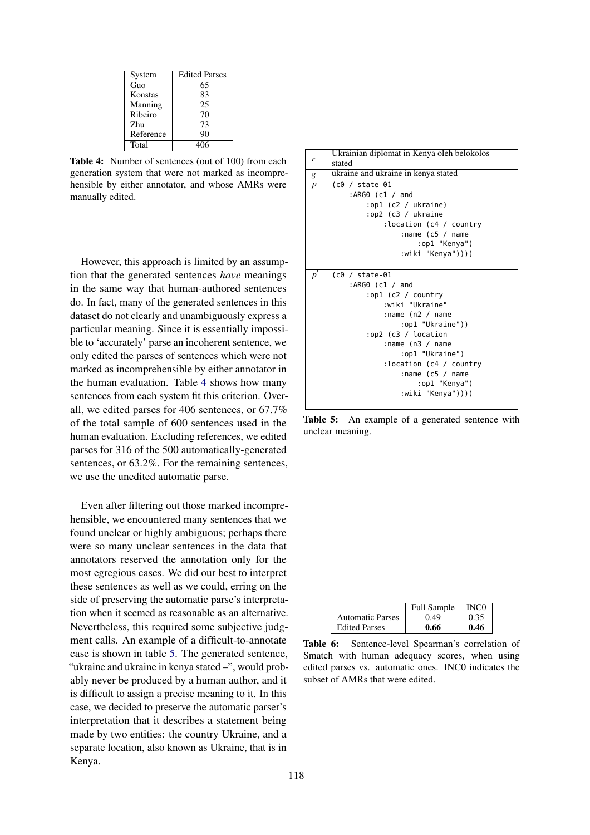| System    | <b>Edited Parses</b> |
|-----------|----------------------|
| Guo       | 65                   |
| Konstas   | 83                   |
| Manning   | 25                   |
| Ribeiro   | 70                   |
| Zhu       | 73                   |
| Reference | 90                   |
| Total     |                      |

Table 4: Number of sentences (out of 100) from each generation system that were not marked as incomprehensible by either annotator, and whose AMRs were manually edited.

However, this approach is limited by an assumption that the generated sentences *have* meanings in the same way that human-authored sentences do. In fact, many of the generated sentences in this dataset do not clearly and unambiguously express a particular meaning. Since it is essentially impossible to 'accurately' parse an incoherent sentence, we only edited the parses of sentences which were not marked as incomprehensible by either annotator in the human evaluation. Table 4 shows how many sentences from each system fit this criterion. Overall, we edited parses for 406 sentences, or 67.7% of the total sample of 600 sentences used in the human evaluation. Excluding references, we edited parses for 316 of the 500 automatically-generated sentences, or 63.2%. For the remaining sentences, we use the unedited automatic parse.

Even after filtering out those marked incomprehensible, we encountered many sentences that we found unclear or highly ambiguous; perhaps there were so many unclear sentences in the data that annotators reserved the annotation only for the most egregious cases. We did our best to interpret these sentences as well as we could, erring on the side of preserving the automatic parse's interpretation when it seemed as reasonable as an alternative. Nevertheless, this required some subjective judgment calls. An example of a difficult-to-annotate case is shown in table 5. The generated sentence, "ukraine and ukraine in kenya stated –", would probably never be produced by a human author, and it is difficult to assign a precise meaning to it. In this case, we decided to preserve the automatic parser's interpretation that it describes a statement being made by two entities: the country Ukraine, and a separate location, also known as Ukraine, that is in Kenya.



Table 5: An example of a generated sentence with unclear meaning.

|                         | <b>Full Sample</b> | INC0 |
|-------------------------|--------------------|------|
| <b>Automatic Parses</b> | 0.49               |      |
| <b>Edited Parses</b>    | 0.66               | 0.46 |

Table 6: Sentence-level Spearman's correlation of Smatch with human adequacy scores, when using edited parses vs. automatic ones. INC0 indicates the subset of AMRs that were edited.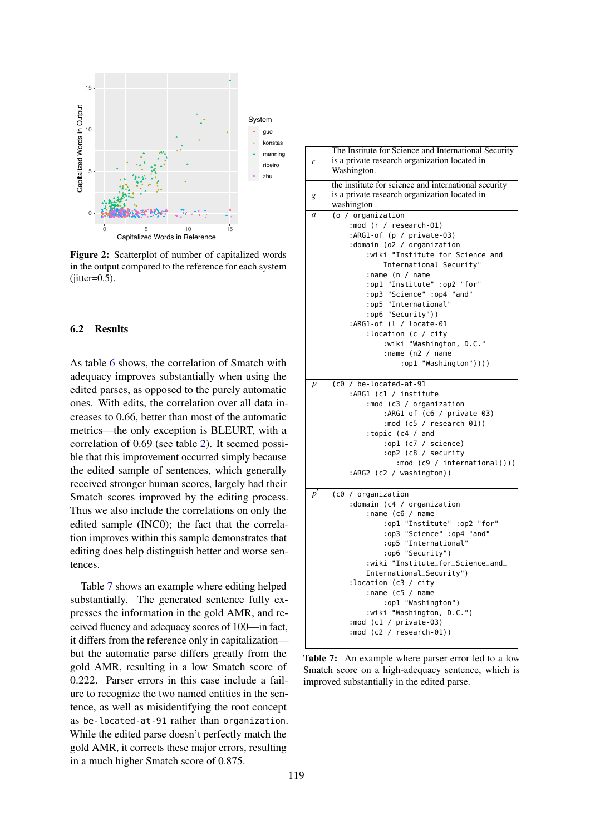

Figure 2: Scatterplot of number of capitalized words in the output compared to the reference for each system  $(iitter=0.5)$ .

#### 6.2 Results

As table 6 shows, the correlation of Smatch with adequacy improves substantially when using the edited parses, as opposed to the purely automatic ones. With edits, the correlation over all data increases to 0.66, better than most of the automatic metrics—the only exception is BLEURT, with a correlation of 0.69 (see table 2). It seemed possible that this improvement occurred simply because the edited sample of sentences, which generally received stronger human scores, largely had their Smatch scores improved by the editing process. Thus we also include the correlations on only the edited sample (INC0); the fact that the correlation improves within this sample demonstrates that editing does help distinguish better and worse sentences.

Table 7 shows an example where editing helped substantially. The generated sentence fully expresses the information in the gold AMR, and received fluency and adequacy scores of 100—in fact, it differs from the reference only in capitalization but the automatic parse differs greatly from the gold AMR, resulting in a low Smatch score of 0.222. Parser errors in this case include a failure to recognize the two named entities in the sentence, as well as misidentifying the root concept as be-located-at-91 rather than organization. While the edited parse doesn't perfectly match the gold AMR, it corrects these major errors, resulting in a much higher Smatch score of 0.875.



Table 7: An example where parser error led to a low Smatch score on a high-adequacy sentence, which is improved substantially in the edited parse.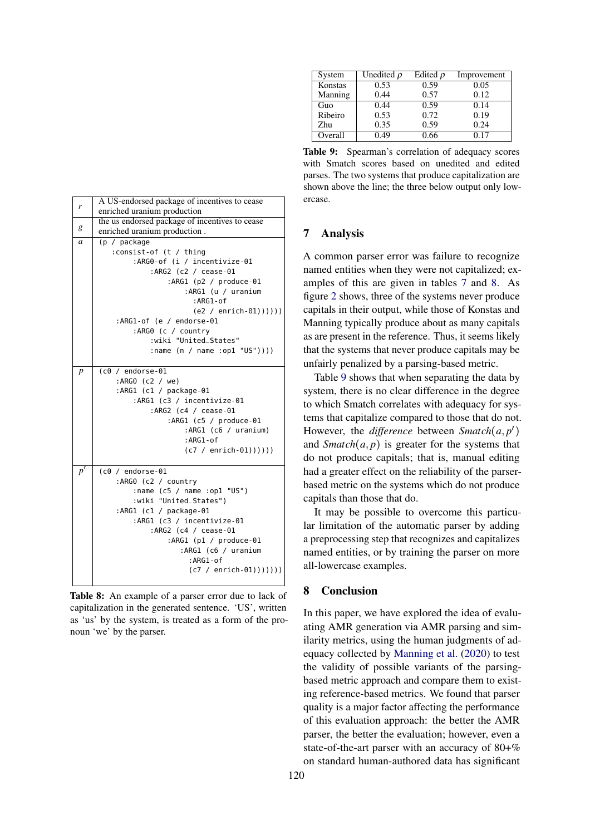| r                | A US-endorsed package of incentives to cease<br>enriched uranium production |  |  |  |
|------------------|-----------------------------------------------------------------------------|--|--|--|
|                  | the us endorsed package of incentives to cease                              |  |  |  |
| g                | enriched uranium production.                                                |  |  |  |
| $\mathfrak a$    | (p / package                                                                |  |  |  |
|                  | :consist-of (t / thing                                                      |  |  |  |
|                  | :ARG0-of (i / incentivize-01                                                |  |  |  |
|                  | :ARG2 (c2 / cease-01                                                        |  |  |  |
|                  | :ARG1 ( $p2 / produce-01$                                                   |  |  |  |
|                  | :ARG1 (u / uranium                                                          |  |  |  |
|                  | $: ARG1 - of$                                                               |  |  |  |
|                  |                                                                             |  |  |  |
|                  | $(e2 / enrich-01)))))$                                                      |  |  |  |
|                  | :ARG1-of (e / endorse-01                                                    |  |  |  |
|                  | :ARG0 (c / country                                                          |  |  |  |
|                  | :wiki "United_States"                                                       |  |  |  |
|                  | : name $(n / name : op1 "US"))$ )                                           |  |  |  |
|                  |                                                                             |  |  |  |
| $\boldsymbol{p}$ | $(c0 / endorse-01)$                                                         |  |  |  |
|                  | :ARG0 (c2 / we)                                                             |  |  |  |
|                  | :ARG1 (c1 / package-01                                                      |  |  |  |
|                  | :ARG1 (c3 / incentivize-01                                                  |  |  |  |
|                  | :ARG2 (c4 / cease-01                                                        |  |  |  |
|                  | :ARG1 $(c5 / produce-01$                                                    |  |  |  |
|                  | :ARG1 (c6 / uranium)                                                        |  |  |  |
|                  | :ARG1-of                                                                    |  |  |  |
|                  | $(c7 / enrich-01))))$                                                       |  |  |  |
|                  |                                                                             |  |  |  |
| $p^{\prime}$     | $($ c $0$ / endorse-01                                                      |  |  |  |
|                  | :ARGO (c2 / country                                                         |  |  |  |
|                  | :name (c5 / name :op1 "US")                                                 |  |  |  |
|                  | :wiki "United_States")                                                      |  |  |  |
|                  |                                                                             |  |  |  |
|                  | :ARG1 (c1 / package-01                                                      |  |  |  |
|                  | :ARG1 (c3 / incentivize-01                                                  |  |  |  |
|                  | :ARG2 (c4 / cease-01                                                        |  |  |  |
|                  | :ARG1 $(p1 / produce-01$                                                    |  |  |  |
|                  | :ARG1 (c6 / uranium                                                         |  |  |  |
|                  | :ARG1-of                                                                    |  |  |  |
|                  | $(c7 / enrich-01)))))$                                                      |  |  |  |
|                  |                                                                             |  |  |  |

Table 8: An example of a parser error due to lack of capitalization in the generated sentence. 'US', written as 'us' by the system, is treated as a form of the pronoun 'we' by the parser.

| System  | Unedited $\rho$ | Edited $\rho$ | Improvement |
|---------|-----------------|---------------|-------------|
| Konstas | 0.53            | 0.59          | 0.05        |
| Manning | 0.44            | 0.57          | 0.12        |
| Guo     | 0.44            | 0.59          | 0.14        |
| Ribeiro | 0.53            | 0.72          | 0.19        |
| Zhu     | 0.35            | 0.59          | 0.24        |
| Overall | 0.49            | 0.66          | 0.17        |

Table 9: Spearman's correlation of adequacy scores with Smatch scores based on unedited and edited parses. The two systems that produce capitalization are shown above the line; the three below output only lowercase.

### 7 Analysis

A common parser error was failure to recognize named entities when they were not capitalized; examples of this are given in tables 7 and 8. As figure 2 shows, three of the systems never produce capitals in their output, while those of Konstas and Manning typically produce about as many capitals as are present in the reference. Thus, it seems likely that the systems that never produce capitals may be unfairly penalized by a parsing-based metric.

Table 9 shows that when separating the data by system, there is no clear difference in the degree to which Smatch correlates with adequacy for systems that capitalize compared to those that do not. However, the *difference* between *Smatch*(*a, p*′ ) and  $Smatch(a, p)$  is greater for the systems that do not produce capitals; that is, manual editing had a greater effect on the reliability of the parserbased metric on the systems which do not produce capitals than those that do.

It may be possible to overcome this particular limitation of the automatic parser by adding a preprocessing step that recognizes and capitalizes named entities, or by training the parser on more all-lowercase examples.

### 8 Conclusion

In this paper, we have explored the idea of evaluating AMR generation via AMR parsing and similarity metrics, using the human judgments of adequacy collected by Manning et al. (2020) to test the validity of possible variants of the parsingbased metric approach and compare them to existing reference-based metrics. We found that parser quality is a major factor affecting the performance of this evaluation approach: the better the AMR parser, the better the evaluation; however, even a state-of-the-art parser with an accuracy of 80+% on standard human-authored data has significant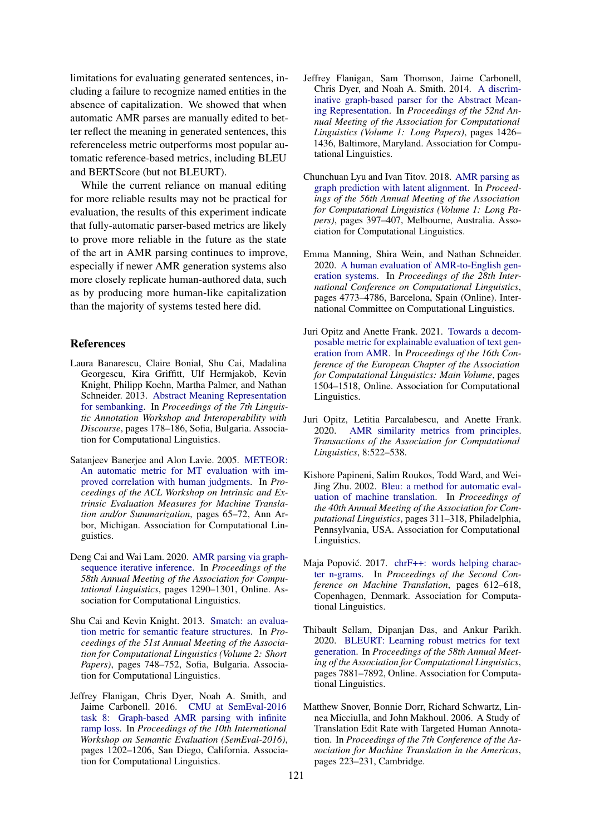limitations for evaluating generated sentences, including a failure to recognize named entities in the absence of capitalization. We showed that when automatic AMR parses are manually edited to better reflect the meaning in generated sentences, this referenceless metric outperforms most popular automatic reference-based metrics, including BLEU and BERTScore (but not BLEURT).

While the current reliance on manual editing for more reliable results may not be practical for evaluation, the results of this experiment indicate that fully-automatic parser-based metrics are likely to prove more reliable in the future as the state of the art in AMR parsing continues to improve, especially if newer AMR generation systems also more closely replicate human-authored data, such as by producing more human-like capitalization than the majority of systems tested here did.

### References

- Laura Banarescu, Claire Bonial, Shu Cai, Madalina Georgescu, Kira Griffitt, Ulf Hermjakob, Kevin Knight, Philipp Koehn, Martha Palmer, and Nathan Schneider. 2013. Abstract Meaning Representation for sembanking. In *Proceedings of the 7th Linguistic Annotation Workshop and Interoperability with Discourse*, pages 178–186, Sofia, Bulgaria. Association for Computational Linguistics.
- Satanjeev Banerjee and Alon Lavie. 2005. METEOR: An automatic metric for MT evaluation with improved correlation with human judgments. In *Proceedings of the ACL Workshop on Intrinsic and Extrinsic Evaluation Measures for Machine Translation and/or Summarization*, pages 65–72, Ann Arbor, Michigan. Association for Computational Linguistics.
- Deng Cai and Wai Lam. 2020. AMR parsing via graphsequence iterative inference. In *Proceedings of the 58th Annual Meeting of the Association for Computational Linguistics*, pages 1290–1301, Online. Association for Computational Linguistics.
- Shu Cai and Kevin Knight. 2013. Smatch: an evaluation metric for semantic feature structures. In *Proceedings of the 51st Annual Meeting of the Association for Computational Linguistics (Volume 2: Short Papers)*, pages 748–752, Sofia, Bulgaria. Association for Computational Linguistics.
- Jeffrey Flanigan, Chris Dyer, Noah A. Smith, and Jaime Carbonell. 2016. CMU at SemEval-2016 task 8: Graph-based AMR parsing with infinite ramp loss. In *Proceedings of the 10th International Workshop on Semantic Evaluation (SemEval-2016)*, pages 1202–1206, San Diego, California. Association for Computational Linguistics.
- Jeffrey Flanigan, Sam Thomson, Jaime Carbonell, Chris Dyer, and Noah A. Smith. 2014. A discriminative graph-based parser for the Abstract Meaning Representation. In *Proceedings of the 52nd Annual Meeting of the Association for Computational Linguistics (Volume 1: Long Papers)*, pages 1426– 1436, Baltimore, Maryland. Association for Computational Linguistics.
- Chunchuan Lyu and Ivan Titov. 2018. AMR parsing as graph prediction with latent alignment. In *Proceedings of the 56th Annual Meeting of the Association for Computational Linguistics (Volume 1: Long Papers)*, pages 397–407, Melbourne, Australia. Association for Computational Linguistics.
- Emma Manning, Shira Wein, and Nathan Schneider. 2020. A human evaluation of AMR-to-English generation systems. In *Proceedings of the 28th International Conference on Computational Linguistics*, pages 4773–4786, Barcelona, Spain (Online). International Committee on Computational Linguistics.
- Juri Opitz and Anette Frank. 2021. Towards a decomposable metric for explainable evaluation of text generation from AMR. In *Proceedings of the 16th Conference of the European Chapter of the Association for Computational Linguistics: Main Volume*, pages 1504–1518, Online. Association for Computational Linguistics.
- Juri Opitz, Letitia Parcalabescu, and Anette Frank. 2020. AMR similarity metrics from principles. *Transactions of the Association for Computational Linguistics*, 8:522–538.
- Kishore Papineni, Salim Roukos, Todd Ward, and Wei-Jing Zhu. 2002. Bleu: a method for automatic evaluation of machine translation. In *Proceedings of the 40th Annual Meeting of the Association for Computational Linguistics*, pages 311–318, Philadelphia, Pennsylvania, USA. Association for Computational Linguistics.
- Maja Popović. 2017. chrF++: words helping character n-grams. In *Proceedings of the Second Conference on Machine Translation*, pages 612–618, Copenhagen, Denmark. Association for Computational Linguistics.
- Thibault Sellam, Dipanjan Das, and Ankur Parikh. 2020. BLEURT: Learning robust metrics for text generation. In *Proceedings of the 58th Annual Meeting of the Association for Computational Linguistics*, pages 7881–7892, Online. Association for Computational Linguistics.
- Matthew Snover, Bonnie Dorr, Richard Schwartz, Linnea Micciulla, and John Makhoul. 2006. A Study of Translation Edit Rate with Targeted Human Annotation. In *Proceedings of the 7th Conference of the Association for Machine Translation in the Americas*, pages 223–231, Cambridge.